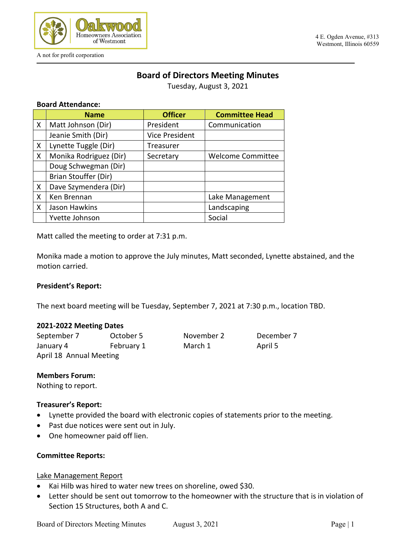

A not for profit corporation

#### 4 E. Ogden Avenue, #313 Westmont, Illinois 60559

# **Board of Directors Meeting Minutes**

Tuesday, August 3, 2021

#### **Board Attendance:**

|   | <b>Name</b>            | <b>Officer</b>        | <b>Committee Head</b>    |
|---|------------------------|-----------------------|--------------------------|
| X | Matt Johnson (Dir)     | President             | Communication            |
|   | Jeanie Smith (Dir)     | <b>Vice President</b> |                          |
| X | Lynette Tuggle (Dir)   | Treasurer             |                          |
| X | Monika Rodriguez (Dir) | Secretary             | <b>Welcome Committee</b> |
|   | Doug Schwegman (Dir)   |                       |                          |
|   | Brian Stouffer (Dir)   |                       |                          |
| X | Dave Szymendera (Dir)  |                       |                          |
| X | Ken Brennan            |                       | Lake Management          |
| X | Jason Hawkins          |                       | Landscaping              |
|   | Yvette Johnson         |                       | Social                   |

Matt called the meeting to order at 7:31 p.m.

Monika made a motion to approve the July minutes, Matt seconded, Lynette abstained, and the motion carried.

#### **President's Report:**

The next board meeting will be Tuesday, September 7, 2021 at 7:30 p.m., location TBD.

#### **2021-2022 Meeting Dates**

September 7 October 5 November 2 December 7 January 4 February 1 March 1 April 5 April 18 Annual Meeting

#### **Members Forum:**

Nothing to report.

#### **Treasurer's Report:**

- Lynette provided the board with electronic copies of statements prior to the meeting.
- Past due notices were sent out in July.
- One homeowner paid off lien.

## **Committee Reports:**

#### Lake Management Report

- Kai Hilb was hired to water new trees on shoreline, owed \$30.
- Letter should be sent out tomorrow to the homeowner with the structure that is in violation of Section 15 Structures, both A and C.